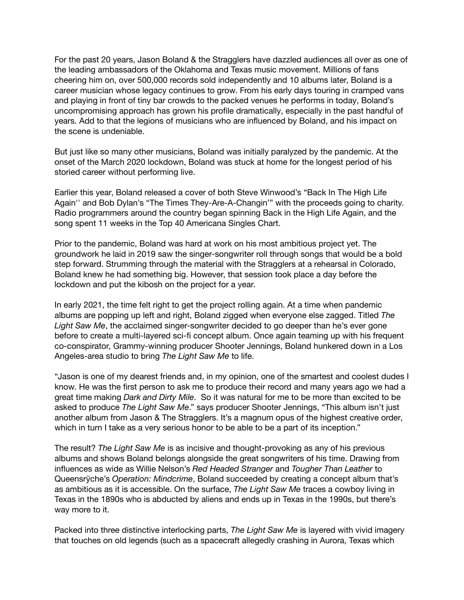For the past 20 years, Jason Boland & the Stragglers have dazzled audiences all over as one of the leading ambassadors of the Oklahoma and Texas music movement. Millions of fans cheering him on, over 500,000 records sold independently and 10 albums later, Boland is a career musician whose legacy continues to grow. From his early days touring in cramped vans and playing in front of tiny bar crowds to the packed venues he performs in today, Boland's uncompromising approach has grown his profile dramatically, especially in the past handful of years. Add to that the legions of musicians who are influenced by Boland, and his impact on the scene is undeniable.

But just like so many other musicians, Boland was initially paralyzed by the pandemic. At the onset of the March 2020 lockdown, Boland was stuck at home for the longest period of his storied career without performing live.

Earlier this year, Boland released a cover of both Steve Winwood's "Back In The High Life Again'' and Bob Dylan's "The Times They-Are-A-Changin'" with the proceeds going to charity. Radio programmers around the country began spinning Back in the High Life Again, and the song spent 11 weeks in the Top 40 Americana Singles Chart.

Prior to the pandemic, Boland was hard at work on his most ambitious project yet. The groundwork he laid in 2019 saw the singer-songwriter roll through songs that would be a bold step forward. Strumming through the material with the Stragglers at a rehearsal in Colorado, Boland knew he had something big. However, that session took place a day before the lockdown and put the kibosh on the project for a year.

In early 2021, the time felt right to get the project rolling again. At a time when pandemic albums are popping up left and right, Boland zigged when everyone else zagged. Titled *The Light Saw Me*, the acclaimed singer-songwriter decided to go deeper than he's ever gone before to create a multi-layered sci-fi concept album. Once again teaming up with his frequent co-conspirator, Grammy-winning producer Shooter Jennings, Boland hunkered down in a Los Angeles-area studio to bring *The Light Saw Me* to life.

"Jason is one of my dearest friends and, in my opinion, one of the smartest and coolest dudes I know. He was the first person to ask me to produce their record and many years ago we had a great time making *Dark and Dirty Mile*. So it was natural for me to be more than excited to be asked to produce *The Light Saw Me*." says producer Shooter Jennings, "This album isn't just another album from Jason & The Stragglers. It's a magnum opus of the highest creative order, which in turn I take as a very serious honor to be able to be a part of its inception."

The result? *The Light Saw Me* is as incisive and thought-provoking as any of his previous albums and shows Boland belongs alongside the great songwriters of his time. Drawing from influences as wide as Willie Nelson's *Red Headed Stranger* and *Tougher Than Leather* to Queensrÿche's *Operation: Mindcrime*, Boland succeeded by creating a concept album that's as ambitious as it is accessible. On the surface, *The Light Saw Me* traces a cowboy living in Texas in the 1890s who is abducted by aliens and ends up in Texas in the 1990s, but there's way more to it.

Packed into three distinctive interlocking parts, *The Light Saw Me* is layered with vivid imagery that touches on old legends (such as a spacecraft allegedly crashing in Aurora, Texas which